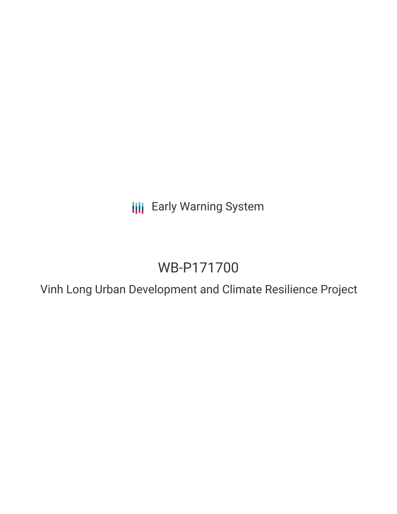**III** Early Warning System

# WB-P171700

Vinh Long Urban Development and Climate Resilience Project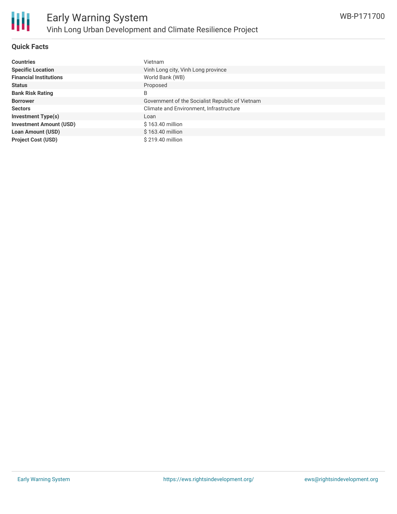

## **Quick Facts**

| <b>Countries</b>               | Vietnam                                         |
|--------------------------------|-------------------------------------------------|
| <b>Specific Location</b>       | Vinh Long city, Vinh Long province              |
| <b>Financial Institutions</b>  | World Bank (WB)                                 |
| <b>Status</b>                  | Proposed                                        |
| <b>Bank Risk Rating</b>        | B                                               |
| <b>Borrower</b>                | Government of the Socialist Republic of Vietnam |
| <b>Sectors</b>                 | Climate and Environment, Infrastructure         |
| <b>Investment Type(s)</b>      | Loan                                            |
| <b>Investment Amount (USD)</b> | \$163.40 million                                |
| <b>Loan Amount (USD)</b>       | \$163.40 million                                |
| <b>Project Cost (USD)</b>      | \$219.40 million                                |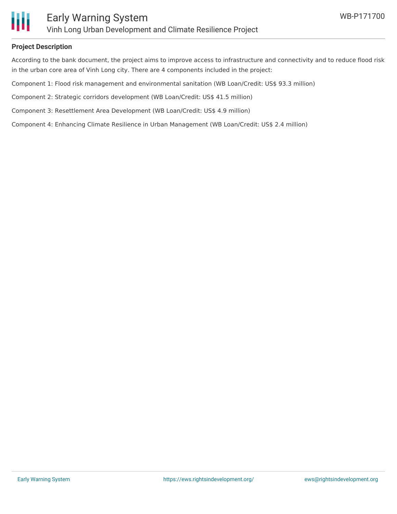

#### **Project Description**

According to the bank document, the project aims to improve access to infrastructure and connectivity and to reduce flood risk in the urban core area of Vinh Long city. There are 4 components included in the project:

Component 1: Flood risk management and environmental sanitation (WB Loan/Credit: US\$ 93.3 million)

Component 2: Strategic corridors development (WB Loan/Credit: US\$ 41.5 million)

Component 3: Resettlement Area Development (WB Loan/Credit: US\$ 4.9 million)

Component 4: Enhancing Climate Resilience in Urban Management (WB Loan/Credit: US\$ 2.4 million)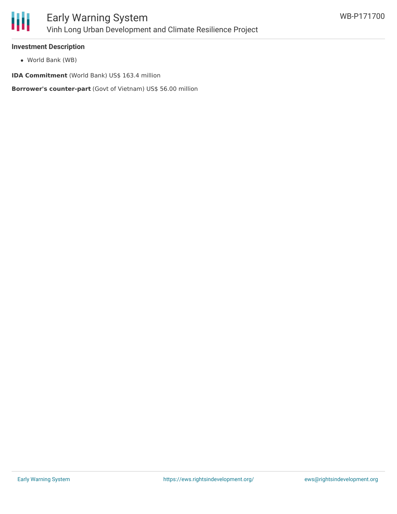

#### **Investment Description**

World Bank (WB)

**IDA Commitment** (World Bank) US\$ 163.4 million

**Borrower's counter-part** (Govt of Vietnam) US\$ 56.00 million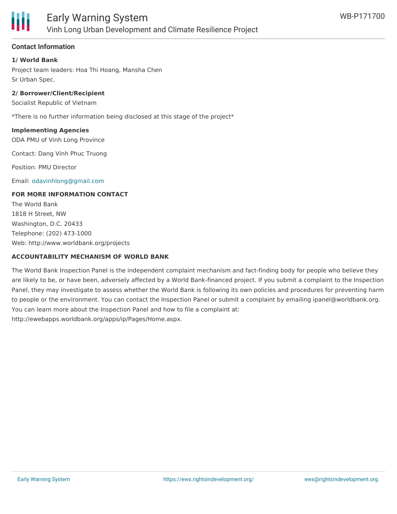

# **Contact Information**

## **1/ World Bank**

Project team leaders: Hoa Thi Hoang, Mansha Chen Sr Urban Spec.

#### **2/ Borrower/Client/Recipient**

Socialist Republic of Vietnam

\*There is no further information being disclosed at this stage of the project\*

#### **Implementing Agencies**

ODA PMU of Vinh Long Province

Contact: Dang Vinh Phuc Truong

Position: PMU Director

Email: [odavinhlong@gmail.com](mailto:odavinhlong@gmail.com)

#### **FOR MORE INFORMATION CONTACT**

The World Bank 1818 H Street, NW Washington, D.C. 20433 Telephone: (202) 473-1000 Web: http://www.worldbank.org/projects

#### **ACCOUNTABILITY MECHANISM OF WORLD BANK**

The World Bank Inspection Panel is the independent complaint mechanism and fact-finding body for people who believe they are likely to be, or have been, adversely affected by a World Bank-financed project. If you submit a complaint to the Inspection Panel, they may investigate to assess whether the World Bank is following its own policies and procedures for preventing harm to people or the environment. You can contact the Inspection Panel or submit a complaint by emailing ipanel@worldbank.org. You can learn more about the Inspection Panel and how to file a complaint at: http://ewebapps.worldbank.org/apps/ip/Pages/Home.aspx.